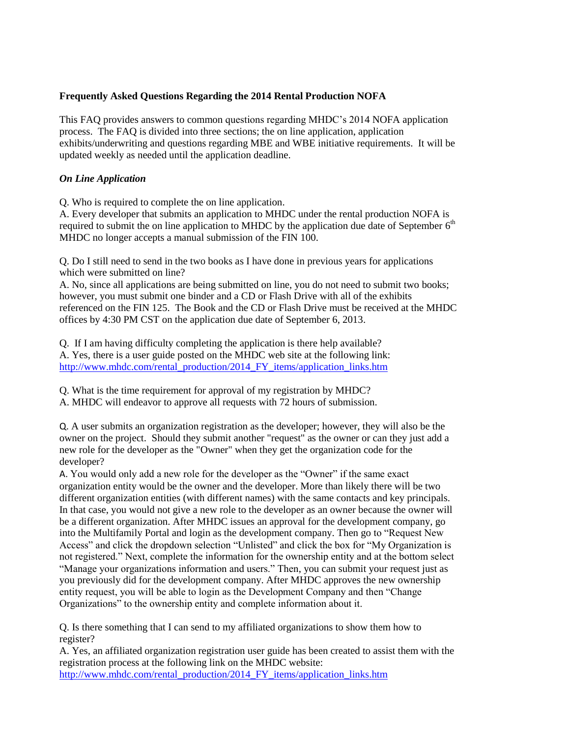## **Frequently Asked Questions Regarding the 2014 Rental Production NOFA**

This FAQ provides answers to common questions regarding MHDC's 2014 NOFA application process. The FAQ is divided into three sections; the on line application, application exhibits/underwriting and questions regarding MBE and WBE initiative requirements. It will be updated weekly as needed until the application deadline.

## *On Line Application*

Q. Who is required to complete the on line application.

A. Every developer that submits an application to MHDC under the rental production NOFA is required to submit the on line application to MHDC by the application due date of September  $6<sup>th</sup>$ MHDC no longer accepts a manual submission of the FIN 100.

Q. Do I still need to send in the two books as I have done in previous years for applications which were submitted on line?

A. No, since all applications are being submitted on line, you do not need to submit two books; however, you must submit one binder and a CD or Flash Drive with all of the exhibits referenced on the FIN 125. The Book and the CD or Flash Drive must be received at the MHDC offices by 4:30 PM CST on the application due date of September 6, 2013.

Q. If I am having difficulty completing the application is there help available? A. Yes, there is a user guide posted on the MHDC web site at the following link: [http://www.mhdc.com/rental\\_production/2014\\_FY\\_items/application\\_links.htm](http://www.mhdc.com/rental_production/2014_FY_items/application_links.htm)

Q. What is the time requirement for approval of my registration by MHDC?

A. MHDC will endeavor to approve all requests with 72 hours of submission.

Q. A user submits an organization registration as the developer; however, they will also be the owner on the project. Should they submit another "request" as the owner or can they just add a new role for the developer as the "Owner" when they get the organization code for the developer?

A. You would only add a new role for the developer as the "Owner" if the same exact organization entity would be the owner and the developer. More than likely there will be two different organization entities (with different names) with the same contacts and key principals. In that case, you would not give a new role to the developer as an owner because the owner will be a different organization. After MHDC issues an approval for the development company, go into the Multifamily Portal and login as the development company. Then go to "Request New Access" and click the dropdown selection "Unlisted" and click the box for "My Organization is not registered." Next, complete the information for the ownership entity and at the bottom select "Manage your organizations information and users." Then, you can submit your request just as you previously did for the development company. After MHDC approves the new ownership entity request, you will be able to login as the Development Company and then "Change Organizations" to the ownership entity and complete information about it.

Q. Is there something that I can send to my affiliated organizations to show them how to register?

A. Yes, an affiliated organization registration user guide has been created to assist them with the registration process at the following link on the MHDC website:

[http://www.mhdc.com/rental\\_production/2014\\_FY\\_items/application\\_links.htm](http://www.mhdc.com/rental_production/2014_FY_items/application_links.htm)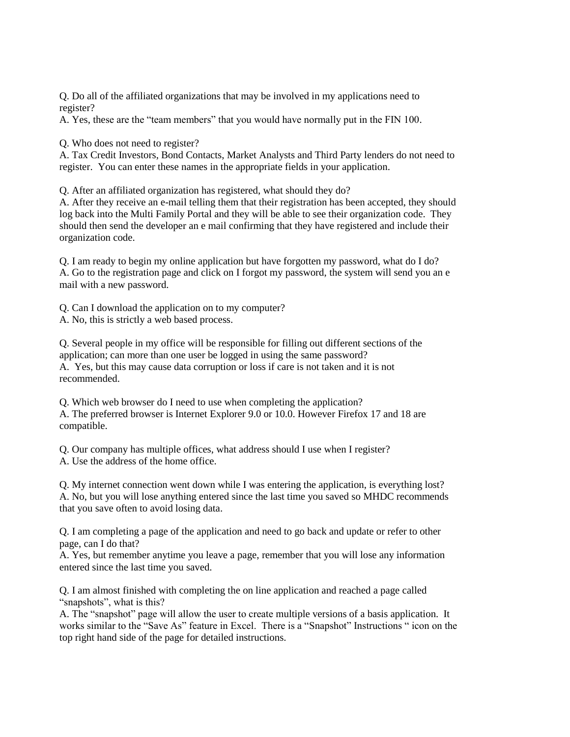Q. Do all of the affiliated organizations that may be involved in my applications need to register?

A. Yes, these are the "team members" that you would have normally put in the FIN 100.

Q. Who does not need to register?

A. Tax Credit Investors, Bond Contacts, Market Analysts and Third Party lenders do not need to register. You can enter these names in the appropriate fields in your application.

Q. After an affiliated organization has registered, what should they do?

A. After they receive an e-mail telling them that their registration has been accepted, they should log back into the Multi Family Portal and they will be able to see their organization code. They should then send the developer an e mail confirming that they have registered and include their organization code.

Q. I am ready to begin my online application but have forgotten my password, what do I do? A. Go to the registration page and click on I forgot my password, the system will send you an e mail with a new password.

Q. Can I download the application on to my computer?

A. No, this is strictly a web based process.

Q. Several people in my office will be responsible for filling out different sections of the application; can more than one user be logged in using the same password? A. Yes, but this may cause data corruption or loss if care is not taken and it is not recommended.

Q. Which web browser do I need to use when completing the application? A. The preferred browser is Internet Explorer 9.0 or 10.0. However Firefox 17 and 18 are compatible.

Q. Our company has multiple offices, what address should I use when I register? A. Use the address of the home office.

Q. My internet connection went down while I was entering the application, is everything lost? A. No, but you will lose anything entered since the last time you saved so MHDC recommends that you save often to avoid losing data.

Q. I am completing a page of the application and need to go back and update or refer to other page, can I do that?

A. Yes, but remember anytime you leave a page, remember that you will lose any information entered since the last time you saved.

Q. I am almost finished with completing the on line application and reached a page called "snapshots", what is this?

A. The "snapshot" page will allow the user to create multiple versions of a basis application. It works similar to the "Save As" feature in Excel. There is a "Snapshot" Instructions " icon on the top right hand side of the page for detailed instructions.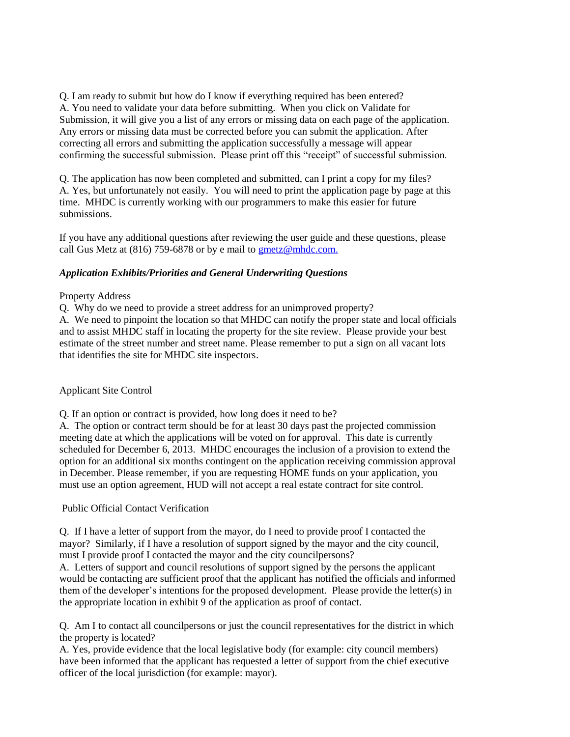Q. I am ready to submit but how do I know if everything required has been entered? A. You need to validate your data before submitting. When you click on Validate for Submission, it will give you a list of any errors or missing data on each page of the application. Any errors or missing data must be corrected before you can submit the application. After correcting all errors and submitting the application successfully a message will appear confirming the successful submission. Please print off this "receipt" of successful submission.

Q. The application has now been completed and submitted, can I print a copy for my files? A. Yes, but unfortunately not easily. You will need to print the application page by page at this time. MHDC is currently working with our programmers to make this easier for future submissions.

If you have any additional questions after reviewing the user guide and these questions, please call Gus Metz at (816) 759-6878 or by e mail to [gmetz@mhdc.com.](mailto:gmetz@mhdc.com)

## *Application Exhibits/Priorities and General Underwriting Questions*

#### Property Address

Q. Why do we need to provide a street address for an unimproved property?

A. We need to pinpoint the location so that MHDC can notify the proper state and local officials and to assist MHDC staff in locating the property for the site review. Please provide your best estimate of the street number and street name. Please remember to put a sign on all vacant lots that identifies the site for MHDC site inspectors.

#### Applicant Site Control

Q. If an option or contract is provided, how long does it need to be?

A. The option or contract term should be for at least 30 days past the projected commission meeting date at which the applications will be voted on for approval. This date is currently scheduled for December 6, 2013. MHDC encourages the inclusion of a provision to extend the option for an additional six months contingent on the application receiving commission approval in December. Please remember, if you are requesting HOME funds on your application, you must use an option agreement, HUD will not accept a real estate contract for site control.

## Public Official Contact Verification

Q. If I have a letter of support from the mayor, do I need to provide proof I contacted the mayor? Similarly, if I have a resolution of support signed by the mayor and the city council, must I provide proof I contacted the mayor and the city councilpersons?

A. Letters of support and council resolutions of support signed by the persons the applicant would be contacting are sufficient proof that the applicant has notified the officials and informed them of the developer's intentions for the proposed development. Please provide the letter(s) in the appropriate location in exhibit 9 of the application as proof of contact.

Q. Am I to contact all councilpersons or just the council representatives for the district in which the property is located?

A. Yes, provide evidence that the local legislative body (for example: city council members) have been informed that the applicant has requested a letter of support from the chief executive officer of the local jurisdiction (for example: mayor).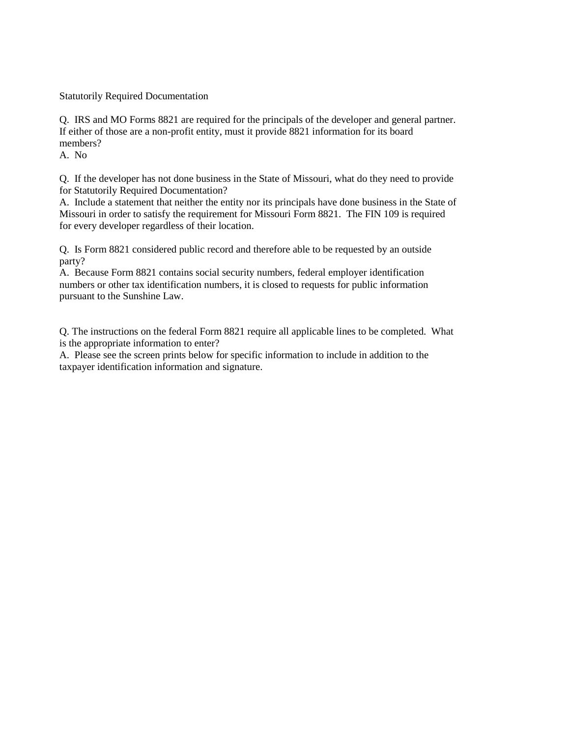Statutorily Required Documentation

Q. IRS and MO Forms 8821 are required for the principals of the developer and general partner. If either of those are a non-profit entity, must it provide 8821 information for its board members?

A. No

Q. If the developer has not done business in the State of Missouri, what do they need to provide for Statutorily Required Documentation?

A. Include a statement that neither the entity nor its principals have done business in the State of Missouri in order to satisfy the requirement for Missouri Form 8821. The FIN 109 is required for every developer regardless of their location.

Q. Is Form 8821 considered public record and therefore able to be requested by an outside party?

A. Because Form 8821 contains social security numbers, federal employer identification numbers or other tax identification numbers, it is closed to requests for public information pursuant to the Sunshine Law.

Q. The instructions on the federal Form 8821 require all applicable lines to be completed. What is the appropriate information to enter?

A. Please see the screen prints below for specific information to include in addition to the taxpayer identification information and signature.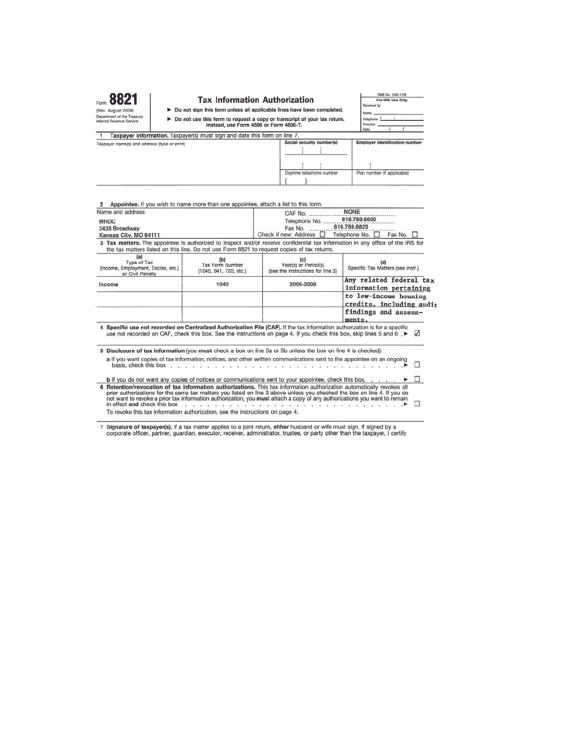|                                                                                                                                                                  |                                                                                                                                                                                                                                                                                                                                                                           | <b>Tax Information Authorization</b>                                                                                                                                                                                                                                                                                                                                            | OMB No. 1545-1165<br>For IRS Use Only<br>Received by:                               |  |
|------------------------------------------------------------------------------------------------------------------------------------------------------------------|---------------------------------------------------------------------------------------------------------------------------------------------------------------------------------------------------------------------------------------------------------------------------------------------------------------------------------------------------------------------------|---------------------------------------------------------------------------------------------------------------------------------------------------------------------------------------------------------------------------------------------------------------------------------------------------------------------------------------------------------------------------------|-------------------------------------------------------------------------------------|--|
| (Rev. August 2008)<br>Department of the Treasury<br>Internal Revenue Service                                                                                     |                                                                                                                                                                                                                                                                                                                                                                           | > Do not sign this form unless all applicable lines have been completed.<br>Do not use this form to request a copy or transcript of your tax return.<br>Instead, use Form 4506 or Form 4506-T.                                                                                                                                                                                  |                                                                                     |  |
| 1                                                                                                                                                                | Taxpayer information. Taxpayer(s) must sign and date this form on line 7.                                                                                                                                                                                                                                                                                                 |                                                                                                                                                                                                                                                                                                                                                                                 | Date                                                                                |  |
| Taxpayer name(s) and address (type or print)                                                                                                                     |                                                                                                                                                                                                                                                                                                                                                                           | Social security number(s)                                                                                                                                                                                                                                                                                                                                                       | <b>Employer identification number</b>                                               |  |
|                                                                                                                                                                  |                                                                                                                                                                                                                                                                                                                                                                           | Daytime telephone number                                                                                                                                                                                                                                                                                                                                                        | Plan number (if applicable)                                                         |  |
| Appointee. If you wish to name more than one appointee, attach a list to this form.<br>Name and address<br><b>MHDC</b><br>3435 Broadway<br>Kansas City, MO 64111 |                                                                                                                                                                                                                                                                                                                                                                           | CAF No.<br>Telephone No.<br>Fax No.<br>Check if new: Address                                                                                                                                                                                                                                                                                                                    | <b>NONE</b><br>816,759,6600<br>816.759.6829<br>Telephone No. □<br>Fax No.           |  |
|                                                                                                                                                                  |                                                                                                                                                                                                                                                                                                                                                                           | 3 Tax matters. The appointee is authorized to inspect and/or receive confidential tax information in any office of the IRS for<br>the tax matters listed on this line. Do not use Form 8821 to request copies of tax returns.                                                                                                                                                   |                                                                                     |  |
| (a)<br>Type of Tax<br>(Income, Employment, Excise, etc.)<br>or Civil Penalty                                                                                     | (b)<br>Tax Form Number<br>(1040, 941, 720, etc.)                                                                                                                                                                                                                                                                                                                          | (c)<br>Year(s) or Period(s)<br>(see the instructions for line 3)                                                                                                                                                                                                                                                                                                                | (d)<br>Specific Tax Matters (see instr.)                                            |  |
| Income                                                                                                                                                           | 1040                                                                                                                                                                                                                                                                                                                                                                      | 2006-2008                                                                                                                                                                                                                                                                                                                                                                       | Any related federal tax<br>information pertaining                                   |  |
|                                                                                                                                                                  |                                                                                                                                                                                                                                                                                                                                                                           |                                                                                                                                                                                                                                                                                                                                                                                 | to low-income housing<br>credits, including audit<br>findings and assess-<br>ments. |  |
|                                                                                                                                                                  |                                                                                                                                                                                                                                                                                                                                                                           | 4 Specific use not recorded on Centralized Authorization File (CAF). If the tax information authorization is for a specific<br>use not recorded on CAF, check this box. See the instructions on page 4. If you check this box, skip lines 5 and 6,                                                                                                                              | $\sqrt{ }$                                                                          |  |
|                                                                                                                                                                  | basis, check this box $\overline{a}$ , $\overline{a}$ , $\overline{a}$ , $\overline{a}$ , $\overline{a}$ , $\overline{a}$ , $\overline{a}$ , $\overline{a}$ , $\overline{a}$ , $\overline{a}$ , $\overline{a}$ , $\overline{a}$ , $\overline{a}$ , $\overline{a}$ , $\overline{a}$ , $\overline{a}$ , $\overline{a}$ , $\overline{a}$ , $\overline{a}$ , $\overline{a}$ , | 5 Disclosure of tax information (you must check a box on line 5a or 5b unless the box on line 4 is checked):<br>a If you want copies of tax information, notices, and other written communications sent to the appointee on an ongoing<br><b>ALC: YES</b><br><b>b</b> If you do not want any copies of notices or communications sent to your appointee, check this box         | п                                                                                   |  |
| in effect and check this box                                                                                                                                     | To revoke this tax information authorization, see the instructions on page 4.                                                                                                                                                                                                                                                                                             | 6 Retention/revocation of tax information authorizations. This tax information authorization automatically revokes all<br>prior authorizations for the same tax matters you listed on line 3 above unless you checked the box on line 4. If you do<br>not want to revoke a prior tax information authorization, you must attach a copy of any authorizations you want to remain |                                                                                     |  |

7 Signature of taxpayer(s). If a tax matter applies to a joint return, either husband or wife must sign. If signed by a corporate officer, partner, guardian, executor, receiver, administrator, trustee, or party other than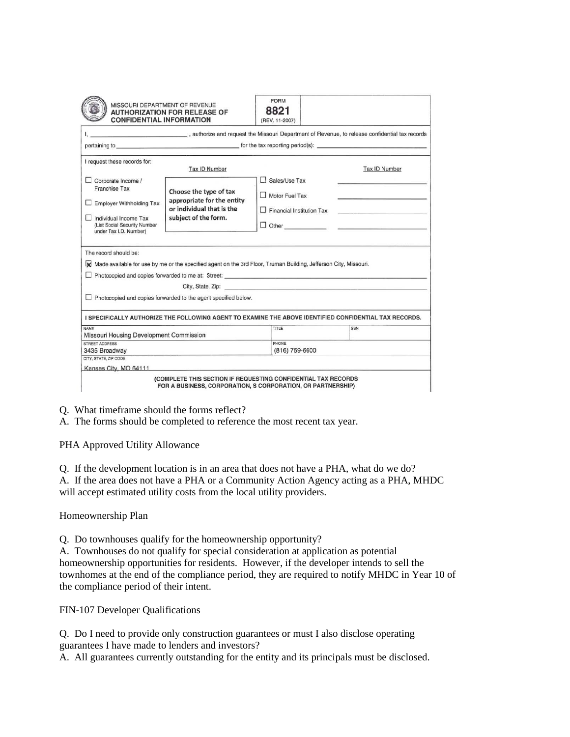|                                                                                                                                             | <b>CONFIDENTIAL INFORMATION</b>                                                                                                                                        | (REV. 11-2007)                                                                                                                                                                                                                 |                                                                                 |
|---------------------------------------------------------------------------------------------------------------------------------------------|------------------------------------------------------------------------------------------------------------------------------------------------------------------------|--------------------------------------------------------------------------------------------------------------------------------------------------------------------------------------------------------------------------------|---------------------------------------------------------------------------------|
|                                                                                                                                             | , authorize and request the Missouri Department of Revenue, to release confidential tax records                                                                        |                                                                                                                                                                                                                                |                                                                                 |
|                                                                                                                                             | pertaining to <b>the service of the service of the service of the tax reporting period(s):</b>                                                                         |                                                                                                                                                                                                                                |                                                                                 |
| I request these records for:                                                                                                                | Tax ID Number                                                                                                                                                          |                                                                                                                                                                                                                                | Tax ID Number                                                                   |
| Corporate Income /                                                                                                                          |                                                                                                                                                                        | Sales/Use Tax                                                                                                                                                                                                                  |                                                                                 |
| <b>Franchise Tax</b>                                                                                                                        | Choose the type of tax<br>appropriate for the entity                                                                                                                   | Motor Fuel Tax                                                                                                                                                                                                                 |                                                                                 |
| Employer Withholding Tax                                                                                                                    | or individual that is the                                                                                                                                              | $\Box$ Financial Institution Tax                                                                                                                                                                                               | the contract of the contract of the contract of the contract of the contract of |
| Individual Income Tax<br>(List Social Security Number<br>under Tax I.D. Number)                                                             | subject of the form.                                                                                                                                                   | $\Box$ Other                                                                                                                                                                                                                   |                                                                                 |
|                                                                                                                                             |                                                                                                                                                                        |                                                                                                                                                                                                                                |                                                                                 |
|                                                                                                                                             | Made available for use by me or the specified agent on the 3rd Floor, Truman Building, Jefferson City, Missouri.<br>Photocopied and copies forwarded to me at: Street: |                                                                                                                                                                                                                                |                                                                                 |
|                                                                                                                                             |                                                                                                                                                                        | City, State, Zip: 2008. The State of The State of The State of The State of The State of The State of The State of The State of The State of The State of The State of The State of The State of The State of The State of The |                                                                                 |
|                                                                                                                                             | Photocopied and copies forwarded to the agent specified below.                                                                                                         |                                                                                                                                                                                                                                |                                                                                 |
|                                                                                                                                             | I SPECIFICALLY AUTHORIZE THE FOLLOWING AGENT TO EXAMINE THE ABOVE IDENTIFIED CONFIDENTIAL TAX RECORDS.                                                                 |                                                                                                                                                                                                                                |                                                                                 |
|                                                                                                                                             |                                                                                                                                                                        | TITLE                                                                                                                                                                                                                          | <b>SSN</b>                                                                      |
|                                                                                                                                             |                                                                                                                                                                        | PHONE                                                                                                                                                                                                                          |                                                                                 |
|                                                                                                                                             |                                                                                                                                                                        | (816) 759-6600                                                                                                                                                                                                                 |                                                                                 |
| The record should be:<br><b>NAME</b><br>Missouri Housing Development Commission<br>STREET ADDRESS<br>3435 Broadway<br>CITY, STATE, ZIP CODE | Kansas City, MO 64111                                                                                                                                                  |                                                                                                                                                                                                                                |                                                                                 |

Q. What timeframe should the forms reflect?

A. The forms should be completed to reference the most recent tax year.

PHA Approved Utility Allowance

Q. If the development location is in an area that does not have a PHA, what do we do? A. If the area does not have a PHA or a Community Action Agency acting as a PHA, MHDC will accept estimated utility costs from the local utility providers.

Homeownership Plan

Q. Do townhouses qualify for the homeownership opportunity?

A. Townhouses do not qualify for special consideration at application as potential homeownership opportunities for residents. However, if the developer intends to sell the townhomes at the end of the compliance period, they are required to notify MHDC in Year 10 of the compliance period of their intent.

FIN-107 Developer Qualifications

Q. Do I need to provide only construction guarantees or must I also disclose operating guarantees I have made to lenders and investors?

A. All guarantees currently outstanding for the entity and its principals must be disclosed.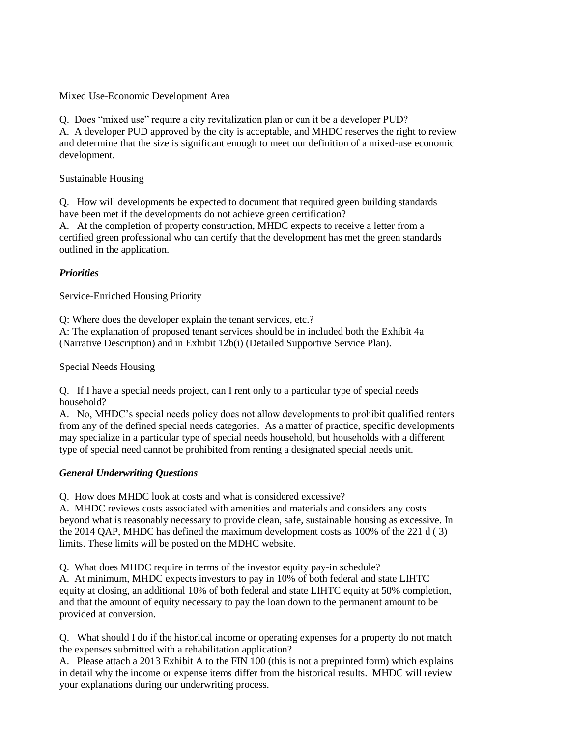Mixed Use-Economic Development Area

Q. Does "mixed use" require a city revitalization plan or can it be a developer PUD?

A. A developer PUD approved by the city is acceptable, and MHDC reserves the right to review and determine that the size is significant enough to meet our definition of a mixed-use economic development.

Sustainable Housing

Q. How will developments be expected to document that required green building standards have been met if the developments do not achieve green certification?

A. At the completion of property construction, MHDC expects to receive a letter from a certified green professional who can certify that the development has met the green standards outlined in the application.

# *Priorities*

Service-Enriched Housing Priority

Q: Where does the developer explain the tenant services, etc.?

A: The explanation of proposed tenant services should be in included both the Exhibit 4a (Narrative Description) and in Exhibit 12b(i) (Detailed Supportive Service Plan).

Special Needs Housing

Q. If I have a special needs project, can I rent only to a particular type of special needs household?

A. No, MHDC's special needs policy does not allow developments to prohibit qualified renters from any of the defined special needs categories. As a matter of practice, specific developments may specialize in a particular type of special needs household, but households with a different type of special need cannot be prohibited from renting a designated special needs unit.

# *General Underwriting Questions*

Q. How does MHDC look at costs and what is considered excessive?

A. MHDC reviews costs associated with amenities and materials and considers any costs beyond what is reasonably necessary to provide clean, safe, sustainable housing as excessive. In the 2014 QAP, MHDC has defined the maximum development costs as 100% of the 221 d ( 3) limits. These limits will be posted on the MDHC website.

Q. What does MHDC require in terms of the investor equity pay-in schedule?

A. At minimum, MHDC expects investors to pay in 10% of both federal and state LIHTC equity at closing, an additional 10% of both federal and state LIHTC equity at 50% completion, and that the amount of equity necessary to pay the loan down to the permanent amount to be provided at conversion.

Q. What should I do if the historical income or operating expenses for a property do not match the expenses submitted with a rehabilitation application?

A. Please attach a 2013 Exhibit A to the FIN 100 (this is not a preprinted form) which explains in detail why the income or expense items differ from the historical results. MHDC will review your explanations during our underwriting process.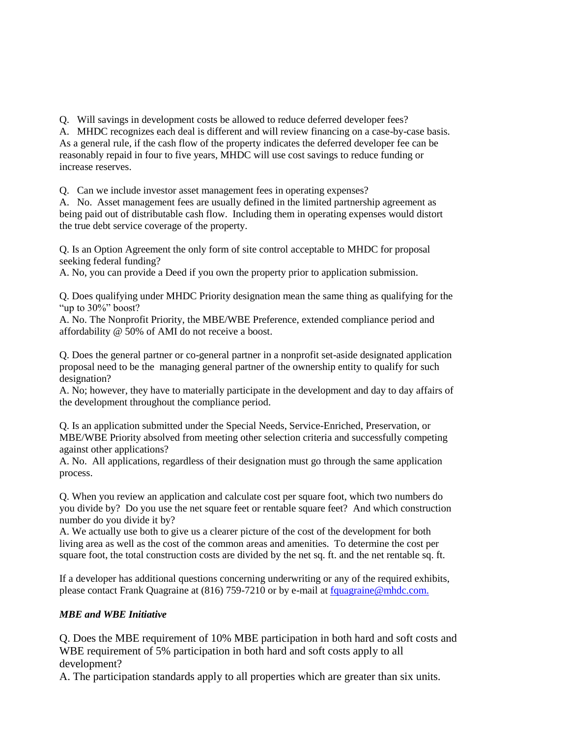Q. Will savings in development costs be allowed to reduce deferred developer fees?

A. MHDC recognizes each deal is different and will review financing on a case-by-case basis. As a general rule, if the cash flow of the property indicates the deferred developer fee can be reasonably repaid in four to five years, MHDC will use cost savings to reduce funding or increase reserves.

Q. Can we include investor asset management fees in operating expenses?

A. No. Asset management fees are usually defined in the limited partnership agreement as being paid out of distributable cash flow. Including them in operating expenses would distort the true debt service coverage of the property.

Q. Is an Option Agreement the only form of site control acceptable to MHDC for proposal seeking federal funding?

A. No, you can provide a Deed if you own the property prior to application submission.

Q. Does qualifying under MHDC Priority designation mean the same thing as qualifying for the "up to 30%" boost?

A. No. The Nonprofit Priority, the MBE/WBE Preference, extended compliance period and affordability @ 50% of AMI do not receive a boost.

Q. Does the general partner or co-general partner in a nonprofit set-aside designated application proposal need to be the managing general partner of the ownership entity to qualify for such designation?

A. No; however, they have to materially participate in the development and day to day affairs of the development throughout the compliance period.

Q. Is an application submitted under the Special Needs, Service-Enriched, Preservation, or MBE/WBE Priority absolved from meeting other selection criteria and successfully competing against other applications?

A. No. All applications, regardless of their designation must go through the same application process.

Q. When you review an application and calculate cost per square foot, which two numbers do you divide by? Do you use the net square feet or rentable square feet? And which construction number do you divide it by?

A. We actually use both to give us a clearer picture of the cost of the development for both living area as well as the cost of the common areas and amenities. To determine the cost per square foot, the total construction costs are divided by the net sq. ft. and the net rentable sq. ft.

If a developer has additional questions concerning underwriting or any of the required exhibits, please contact Frank Quagraine at (816) 759-7210 or by e-mail at [fquagraine@mhdc.com.](mailto:fquagraine@mhdc.com)

# *MBE and WBE Initiative*

Q. Does the MBE requirement of 10% MBE participation in both hard and soft costs and WBE requirement of 5% participation in both hard and soft costs apply to all development?

A. The participation standards apply to all properties which are greater than six units.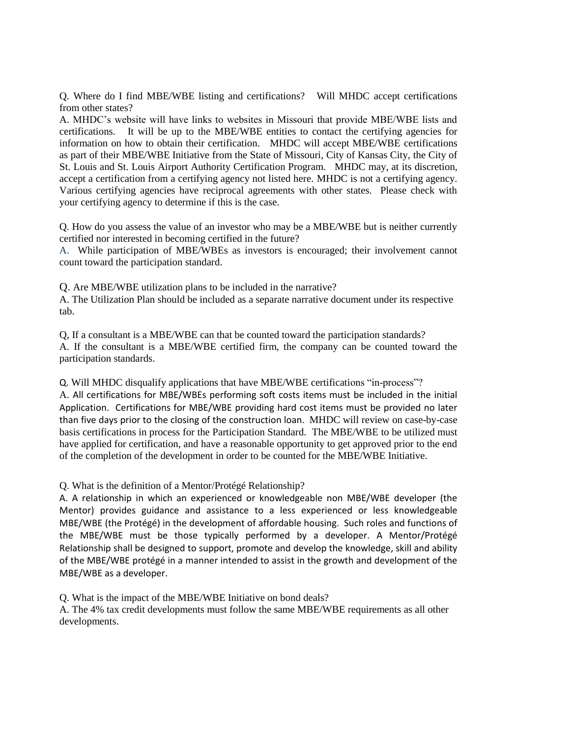Q. Where do I find MBE/WBE listing and certifications? Will MHDC accept certifications from other states?

A. MHDC's website will have links to websites in Missouri that provide MBE/WBE lists and certifications. It will be up to the MBE/WBE entities to contact the certifying agencies for information on how to obtain their certification. MHDC will accept MBE/WBE certifications as part of their MBE/WBE Initiative from the State of Missouri, City of Kansas City, the City of St. Louis and St. Louis Airport Authority Certification Program. MHDC may, at its discretion, accept a certification from a certifying agency not listed here. MHDC is not a certifying agency. Various certifying agencies have reciprocal agreements with other states. Please check with your certifying agency to determine if this is the case.

Q. How do you assess the value of an investor who may be a MBE/WBE but is neither currently certified nor interested in becoming certified in the future?

A. While participation of MBE/WBEs as investors is encouraged; their involvement cannot count toward the participation standard.

Q. Are MBE/WBE utilization plans to be included in the narrative?

A. The Utilization Plan should be included as a separate narrative document under its respective tab.

Q, If a consultant is a MBE/WBE can that be counted toward the participation standards? A. If the consultant is a MBE/WBE certified firm, the company can be counted toward the participation standards.

Q. Will MHDC disqualify applications that have MBE/WBE certifications "in-process"? A. All certifications for MBE/WBEs performing soft costs items must be included in the initial Application. Certifications for MBE/WBE providing hard cost items must be provided no later than five days prior to the closing of the construction loan. MHDC will review on case-by-case basis certifications in process for the Participation Standard. The MBE/WBE to be utilized must have applied for certification, and have a reasonable opportunity to get approved prior to the end of the completion of the development in order to be counted for the MBE/WBE Initiative.

Q. What is the definition of a Mentor/Protégé Relationship?

A. A relationship in which an experienced or knowledgeable non MBE/WBE developer (the Mentor) provides guidance and assistance to a less experienced or less knowledgeable MBE/WBE (the Protégé) in the development of affordable housing. Such roles and functions of the MBE/WBE must be those typically performed by a developer. A Mentor/Protégé Relationship shall be designed to support, promote and develop the knowledge, skill and ability of the MBE/WBE protégé in a manner intended to assist in the growth and development of the MBE/WBE as a developer.

Q. What is the impact of the MBE/WBE Initiative on bond deals?

A. The 4% tax credit developments must follow the same MBE/WBE requirements as all other developments.